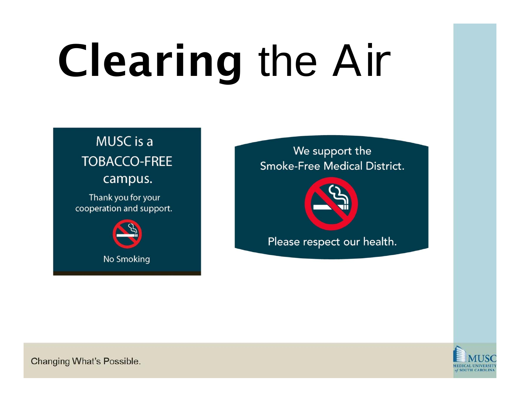### MUSC is a **TOBACCO-FREE** campus. Thank you for your

cooperation and support.



#### We support the **Smoke-Free Medical District.**



Please respect our health.

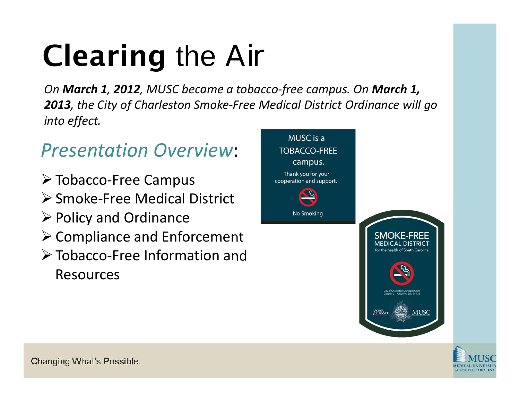*On March 1, 2012, MUSC became <sup>a</sup> tobacco‐free campus. On March 1, 2013, the City of Charleston Smoke‐Free Medical District Ordinance will go into effect.*

### *Presentation Overview*:

- Tobacco‐Free Campus
- Smoke‐Free Medical District
- $\triangleright$  Policy and Ordinance
- $\triangleright$  Compliance and Enforcement
- Tobacco‐Free Information and Resources



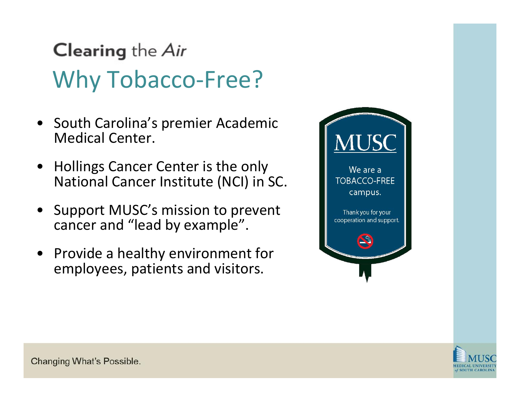# **Clearing the Air** Why Tobacco-Free?

- South Carolina's premier Academic Medical Center.
- $\bullet$  Hollings Cancer Center is the only National Cancer Institute (NCI) in SC.
- $\bullet$  Support MUSC's mission to prevent cancer and "lead by example".
- Provide <sup>a</sup> healthy environment for employees, patients and visitors.



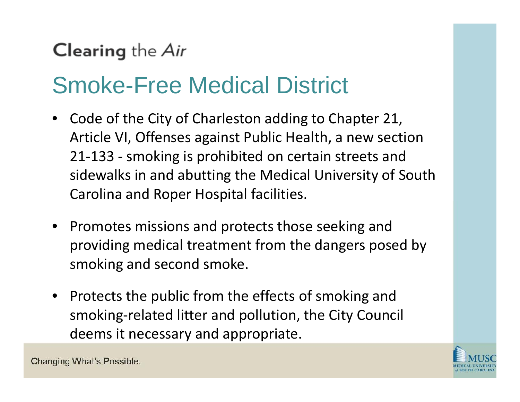# Smoke-Free Medical District

- •• Code of the City of Charleston adding to Chapter 21, Article VI, Offenses against Public Health, a new section 21 ‐133 ‐ smoking is prohibited on certain streets and sidewalks in and abutting the Medical University of South Carolina and Roper Hospital facilities.
- Promotes missions and protects those seeking and providing medical treatment from the dangers posed by smoking and second smoke.
- Protects the public from the effects of smoking and smoking ‐related litter and pollution, the City Council deems it necessary and appropriate.

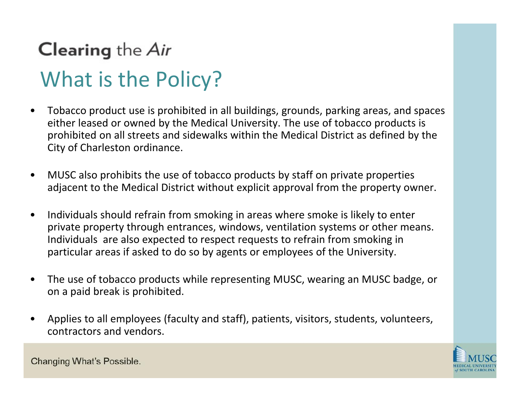# **Clearing the Air** What is the Policy?

- • Tobacco product use is prohibited in all buildings, grounds, parking areas, and spaces either leased or owned by the Medical University. The use of tobacco products is prohibited on all streets and sidewalks within the Medical District as defined by the City of Charleston ordinance.
- • MUSC also prohibits the use of tobacco products by staff on private properties adjacent to the Medical District without explicit approval from the property owner.
- $\bullet$  Individuals should refrain from smoking in areas where smoke is likely to enter private property through entrances, windows, ventilation systems or other means. Individuals are also expected to respect requests to refrain from smoking in particular areas if asked to do so by agents or employees of the University.
- • The use of tobacco products while representing MUSC, wearing an MUSC badge, or on <sup>a</sup> paid break is prohibited.
- • Applies to all employees (faculty and staff), patients, visitors, students, volunteers, contractors and vendors.

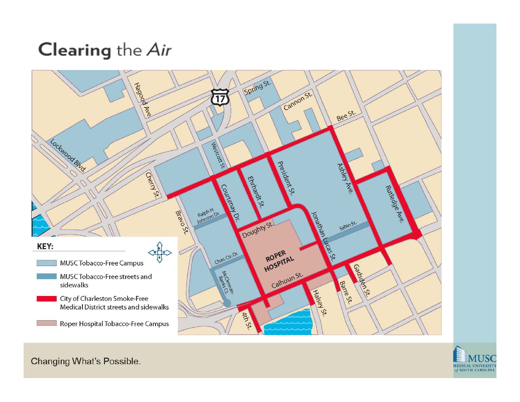

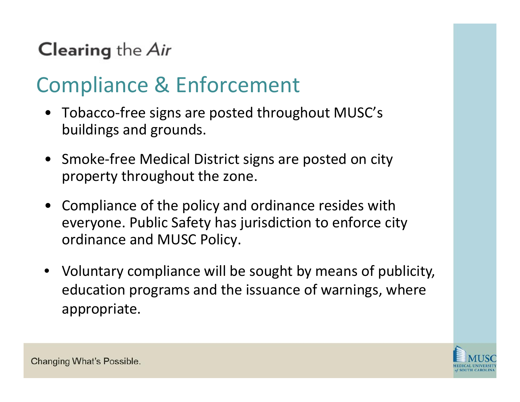### Compliance & Enforcement

- Tobacco‐free signs are posted throughout MUSC's buildings and grounds.
- Smoke‐free Medical District signs are posted on city property throughout the zone.
- Compliance of the policy and ordinance resides with everyone. Public Safety has jurisdiction to enforce city ordinance and MUSC Policy.
- Voluntary compliance will be sought by means of publicity, education programs and the issuance of warnings, where appropriate.

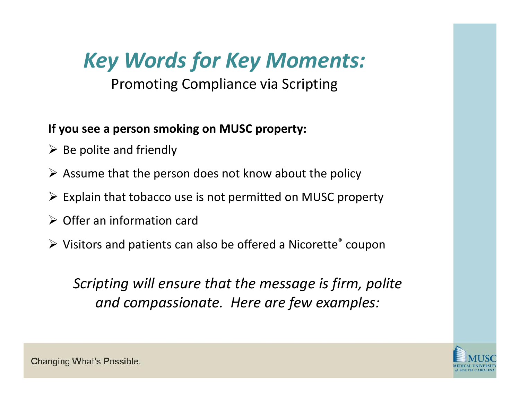## *Key Words for Key Moments:*

#### Promoting Compliance via Scripting

#### **If you see <sup>a</sup> person smoking on MUSC property:**

- $\triangleright$  Be polite and friendly
- $\triangleright$  Assume that the person does not know about the policy
- $\triangleright$  Explain that tobacco use is not permitted on MUSC property
- $\triangleright$  Offer an information card
- $\triangleright$  Visitors and patients can also be offered a Nicorette® coupon

*Scripting will ensure that the message is firm, polite and compassionate. Here are few examples:*

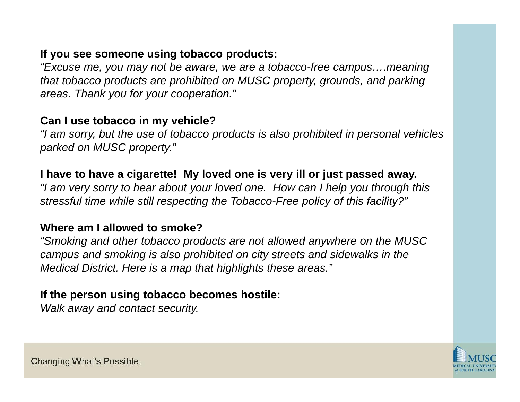#### **If you see someone using tobacco products:**

*"Excuse me, you may not be aware, we are a tobacco-free campus….meaning that tobacco products are prohibited on MUSC property, grounds, and parking areas. Thank you for your cooperation."*

#### **Can I use tobacco in my vehicle?**

*"I am sorry, but the use of tobacco products is also prohibited in personal vehicles parked on MUSC property."*

#### **I have to have a cigarette! My loved one is very ill or just passed away.**

*"I am very sorry to hear about your loved one. How can I help you through this stressful time while still respecting the Tobacco-Free policy of this facility?"* 

#### **Where am I allowed to smoke?**

*"Smoking and other tobacco products are not allowed anywhere on the MUSC campus and smoking is also prohibited on city streets and sidewalks in the Medical District. Here is a map that highlights these areas."*

#### **If the person using tobacco becomes hostile:**

*Walk away and contact security.*

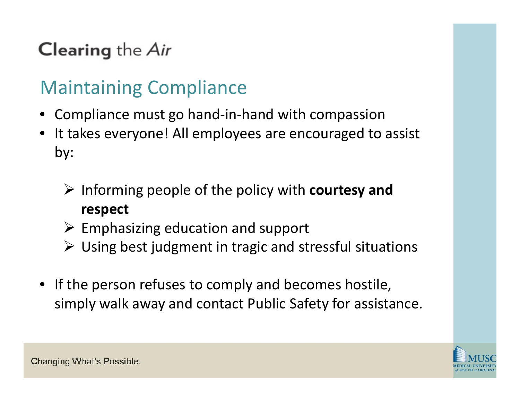### Maintaining Compliance

- •Compliance must go hand‐in‐hand with compassion
- •• It takes everyone! All employees are encouraged to assist by:
	- Informing people of the policy with **courtesy and respect**
	- $\triangleright$  Emphasizing education and support
	- Using best judgment in tragic and stressful situations
- If the person refuses to comply and becomes hostile, simply walk away and contact Public Safety for assistance.

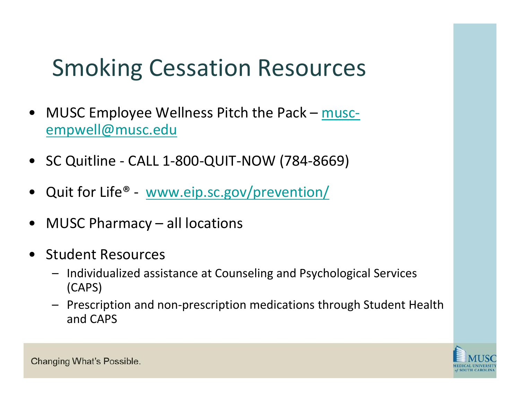# Smoking Cessation Resources

- $\bullet$ MUSC Employee Wellness Pitch the Pack – muscempwell@musc.edu
- SC Quitline ‐ CALL 1‐800‐QUIT‐NOW (784‐8669)
- $\bullet$ Quit for Life® - www.eip.sc.gov/prevention/
- $\bullet$ MUSC Pharmacy – all locations
- $\bullet$  Student Resources
	- Individualized assistance at Counseling and Psychological Services (CAPS)
	- Prescription and non‐prescription medications through Student Health and CAPS